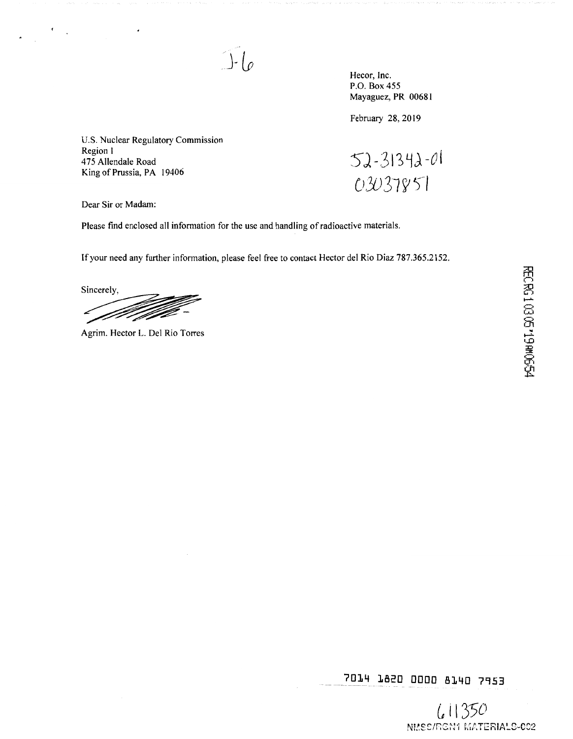Hecor, Inc. P.O. Box 455 Mayaguez, PR 00681

February 28, 2019

U.S. Nuclear Regulatory Commission Region I 475 Allendale Road King of Prussia, PA 19406

 $52 - 31342 - 01$ 03037851

Dear Sir or Madam:

Please find enclosed all information for the use and handling of radioactive materials.

 $J-\mathcal{L}$ 

If your need any further information, please feel free to contact Hector del Rio Diaz 787.365.2152.

Sincerely, ZZ.

Agrim. Hector L. Del Rio Torres

7014 1820 0000 8140 7953

 $61350$ NMSC/RGN1 MATERIALS-002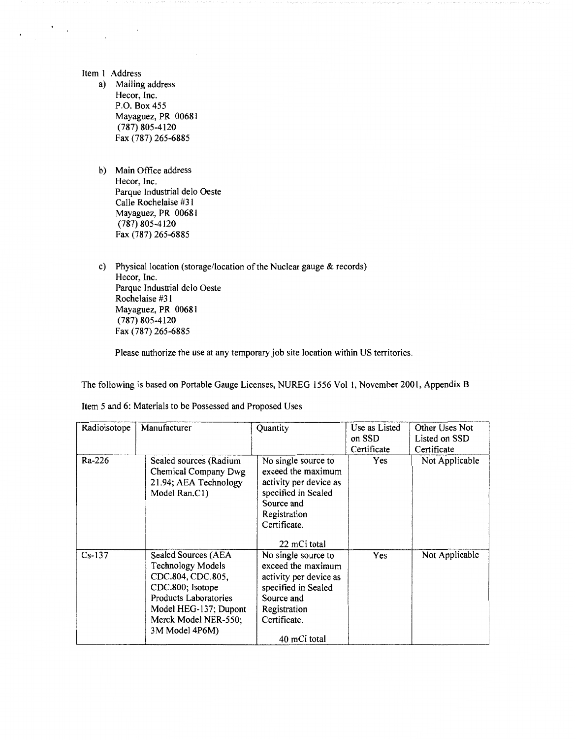Item l Address

 $\sum_{i=1}^n \frac{1}{2} \sum_{i=1}^n \frac{1}{2} \sum_{i=1}^n \frac{1}{2} \sum_{i=1}^n \frac{1}{2} \sum_{i=1}^n \frac{1}{2} \sum_{i=1}^n \frac{1}{2} \sum_{i=1}^n \frac{1}{2} \sum_{i=1}^n \frac{1}{2} \sum_{i=1}^n \frac{1}{2} \sum_{i=1}^n \frac{1}{2} \sum_{i=1}^n \frac{1}{2} \sum_{i=1}^n \frac{1}{2} \sum_{i=1}^n \frac{1}{2} \sum_{i=1}^n \frac{$ 

- a) Mailing address Hecor, Inc. P.O. Box455 Mayaguez, PR 0068 l (787) 805-4120 Fax (787) 265-6885
- b) Main Office address Hecor, Inc. Parque Industrial delo Oeste Calle Rochelaise #31 Mayaguez, PR 00681 (787) 805-4120 Fax (787) 265-6885
- c) Physical location (storage/location of the Nuclear gauge & records) Hecor, Inc. Parque Industrial delo Oeste Rochelaise #31 Mayaguez, PR 00681 (787) 805-4120 Fax (787) 265-6885

Please authorize the use at any temporary job site location within US territories.

The following is based on Portable Gauge Licenses, NUREG 1556 Vol 1, November 2001, Appendix B

| Radioisotope | Manufacturer                                                                                                                                                                                | Quantity                                                                                                                                                 | Use as Listed<br>on SSD<br>Certificate | Other Uses Not<br>Listed on SSD<br>Certificate |  |
|--------------|---------------------------------------------------------------------------------------------------------------------------------------------------------------------------------------------|----------------------------------------------------------------------------------------------------------------------------------------------------------|----------------------------------------|------------------------------------------------|--|
| Ra-226       | Sealed sources (Radium<br>Chemical Company Dwg<br>21.94; AEA Technology<br>Model Ran.C1)                                                                                                    | No single source to<br>exceed the maximum<br>activity per device as<br>specified in Sealed<br>Source and<br>Registration<br>Certificate.<br>22 mCi total | Yes                                    | Not Applicable                                 |  |
| $Cs-137$     | Sealed Sources (AEA<br><b>Technology Models</b><br>CDC.804, CDC.805,<br>CDC.800; Isotope<br><b>Products Laboratories</b><br>Model HEG-137; Dupont<br>Merck Model NER-550;<br>3M Model 4P6M) | No single source to<br>exceed the maximum<br>activity per device as<br>specified in Sealed<br>Source and<br>Registration<br>Certificate.<br>40 mCi total | Yes                                    | Not Applicable                                 |  |

Item 5 and 6: Materials to be Possessed and Proposed Uses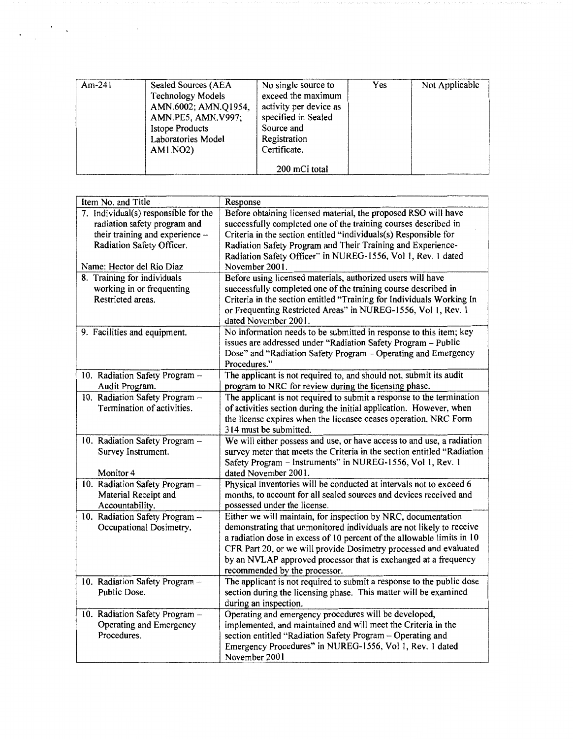|  | AMN.6002; AMN.Q1954,<br>AMN.PE5, AMN.V997;<br><b>Istope Products</b><br>Laboratories Model<br>AM1.NO2) | activity per device as<br>specified in Sealed<br>Source and<br>Registration<br>Certificate.<br>200 mCi total |  |  |
|--|--------------------------------------------------------------------------------------------------------|--------------------------------------------------------------------------------------------------------------|--|--|
|--|--------------------------------------------------------------------------------------------------------|--------------------------------------------------------------------------------------------------------------|--|--|

 $\label{eq:2} \frac{1}{2} \sum_{i=1}^n \frac{1}{2} \sum_{j=1}^n \frac{1}{2} \sum_{j=1}^n \frac{1}{2} \sum_{j=1}^n \frac{1}{2} \sum_{j=1}^n \frac{1}{2} \sum_{j=1}^n \frac{1}{2} \sum_{j=1}^n \frac{1}{2} \sum_{j=1}^n \frac{1}{2} \sum_{j=1}^n \frac{1}{2} \sum_{j=1}^n \frac{1}{2} \sum_{j=1}^n \frac{1}{2} \sum_{j=1}^n \frac{1}{2} \sum_{j=1}^n \frac{1}{$ 

 $\sim$   $\lambda$ 

| Item No. and Title                                        | Response                                                                                      |
|-----------------------------------------------------------|-----------------------------------------------------------------------------------------------|
| 7. Individual(s) responsible for the                      | Before obtaining licensed material, the proposed RSO will have                                |
| radiation safety program and                              | successfully completed one of the training courses described in                               |
| their training and experience -                           | Criteria in the section entitled "individuals(s) Responsible for                              |
| Radiation Safety Officer.                                 | Radiation Safety Program and Their Training and Experience-                                   |
|                                                           | Radiation Safety Officer" in NUREG-1556, Vol 1, Rev. 1 dated                                  |
| Name: Hector del Rio Diaz                                 | November 2001.                                                                                |
| 8. Training for individuals                               | Before using licensed materials, authorized users will have                                   |
| working in or frequenting                                 | successfully completed one of the training course described in                                |
| Restricted areas.                                         | Criteria in the section entitled "Training for Individuals Working In                         |
|                                                           | or Frequenting Restricted Areas" in NUREG-1556, Vol 1, Rev. 1                                 |
|                                                           | dated November 2001.<br>No information needs to be submitted in response to this item; key    |
| 9. Facilities and equipment.                              | issues are addressed under "Radiation Safety Program - Public                                 |
|                                                           | Dose" and "Radiation Safety Program - Operating and Emergency                                 |
|                                                           | Procedures."                                                                                  |
| 10. Radiation Safety Program --                           | The applicant is not required to, and should not, submit its audit                            |
| Audit Program.                                            | program to NRC for review during the licensing phase.                                         |
| 10. Radiation Safety Program -                            | The applicant is not required to submit a response to the termination                         |
| Termination of activities.                                | of activities section during the initial application. However, when                           |
|                                                           | the license expires when the licensee ceases operation, NRC Form                              |
|                                                           | 314 must be submitted.                                                                        |
| 10. Radiation Safety Program -                            | We will either possess and use, or have access to and use, a radiation                        |
| Survey Instrument.                                        | survey meter that meets the Criteria in the section entitled "Radiation                       |
|                                                           | Safety Program - Instruments" in NUREG-1556, Vol 1, Rev. 1                                    |
| Monitor 4                                                 | dated November 2001.                                                                          |
| 10. Radiation Safety Program -                            | Physical inventories will be conducted at intervals not to exceed 6                           |
| Material Receipt and                                      | months, to account for all sealed sources and devices received and                            |
| Accountability.                                           | possessed under the license.<br>Either we will maintain, for inspection by NRC, documentation |
| 10. Radiation Safety Program -<br>Occupational Dosimetry. | demonstrating that unmonitored individuals are not likely to receive                          |
|                                                           | a radiation dose in excess of 10 percent of the allowable limits in 10                        |
|                                                           | CFR Part 20, or we will provide Dosimetry processed and evaluated                             |
|                                                           | by an NVLAP approved processor that is exchanged at a frequency                               |
|                                                           | recommended by the processor.                                                                 |
| 10. Radiation Safety Program -                            | The applicant is not required to submit a response to the public dose                         |
| Public Dose.                                              | section during the licensing phase. This matter will be examined                              |
|                                                           | during an inspection.                                                                         |
| 10. Radiation Safety Program -                            | Operating and emergency procedures will be developed,                                         |
| Operating and Emergency                                   | implemented, and maintained and will meet the Criteria in the                                 |
| Procedures.                                               | section entitled "Radiation Safety Program - Operating and                                    |
|                                                           | Emergency Procedures" in NUREG-1556, Vol 1, Rev. 1 dated                                      |
|                                                           | November 2001                                                                                 |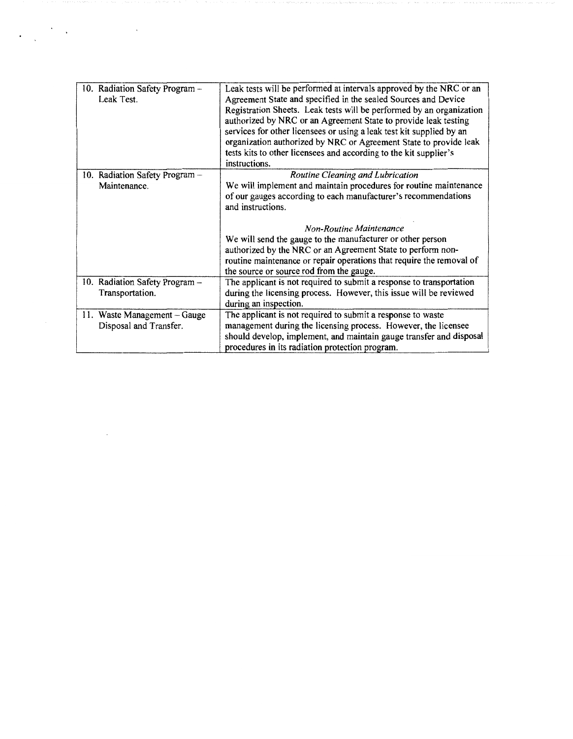| 10. Radiation Safety Program -<br>Leak Test.           | Leak tests will be performed at intervals approved by the NRC or an<br>Agreement State and specified in the sealed Sources and Device<br>Registration Sheets. Leak tests will be performed by an organization<br>authorized by NRC or an Agreement State to provide leak testing<br>services for other licensees or using a leak test kit supplied by an<br>organization authorized by NRC or Agreement State to provide leak<br>tests kits to other licensees and according to the kit supplier's<br>instructions. |
|--------------------------------------------------------|---------------------------------------------------------------------------------------------------------------------------------------------------------------------------------------------------------------------------------------------------------------------------------------------------------------------------------------------------------------------------------------------------------------------------------------------------------------------------------------------------------------------|
| 10. Radiation Safety Program -<br>Maintenance.         | Routine Cleaning and Lubrication<br>We will implement and maintain procedures for routine maintenance<br>of our gauges according to each manufacturer's recommendations<br>and instructions.<br><b>Non-Routine Maintenance</b><br>We will send the gauge to the manufacturer or other person<br>authorized by the NRC or an Agreement State to perform non-<br>routine maintenance or repair operations that require the removal of<br>the source or source rod from the gauge.                                     |
| 10. Radiation Safety Program -<br>Transportation.      | The applicant is not required to submit a response to transportation<br>during the licensing process. However, this issue will be reviewed<br>during an inspection.                                                                                                                                                                                                                                                                                                                                                 |
| 11. Waste Management - Gauge<br>Disposal and Transfer. | The applicant is not required to submit a response to waste<br>management during the licensing process. However, the licensee<br>should develop, implement, and maintain gauge transfer and disposal<br>procedures in its radiation protection program.                                                                                                                                                                                                                                                             |

 $\label{eq:2.1} \frac{1}{2}\sum_{i=1}^n\frac{1}{2}\sum_{i=1}^n\frac{1}{2}\sum_{i=1}^n\frac{1}{2}\sum_{i=1}^n\frac{1}{2}\sum_{i=1}^n\frac{1}{2}\sum_{i=1}^n\frac{1}{2}\sum_{i=1}^n\frac{1}{2}\sum_{i=1}^n\frac{1}{2}\sum_{i=1}^n\frac{1}{2}\sum_{i=1}^n\frac{1}{2}\sum_{i=1}^n\frac{1}{2}\sum_{i=1}^n\frac{1}{2}\sum_{i=1}^n\frac{1}{2}\sum_{i=1}^n\$ 

 $\mathcal{L}^{\text{max}}_{\text{max}}$  and  $\mathcal{L}^{\text{max}}_{\text{max}}$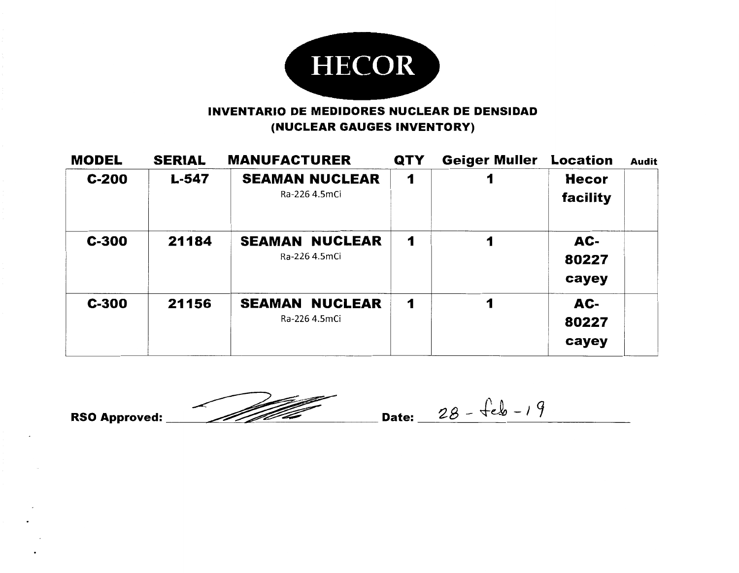

#### INVENTARIO DE **MEDIDORES** NUCLEAR DE **DENSIDAD**  (NUCLEAR GAUGES INVENTORY)

| <b>MODEL</b> | <b>SERIAL</b> | <b>MANUFACTURER</b>                    | <b>QTY</b> | <b>Geiger Muller</b> | <b>Location</b>          | <b>Audit</b> |
|--------------|---------------|----------------------------------------|------------|----------------------|--------------------------|--------------|
| $C-200$      | L-547         | <b>SEAMAN NUCLEAR</b><br>Ra-226 4.5mCi | 1          |                      | <b>Hecor</b><br>facility |              |
| $C-300$      | 21184         | <b>SEAMAN NUCLEAR</b><br>Ra-226 4.5mCi | 1          | 1                    | AC-<br>80227<br>cayey    |              |
| $C-300$      | 21156         | <b>SEAMAN NUCLEAR</b><br>Ra-226 4.5mCi | 1          | 1                    | AC-<br>80227<br>cayey    |              |

RSO Approved: <u>28 - feb - 19</u>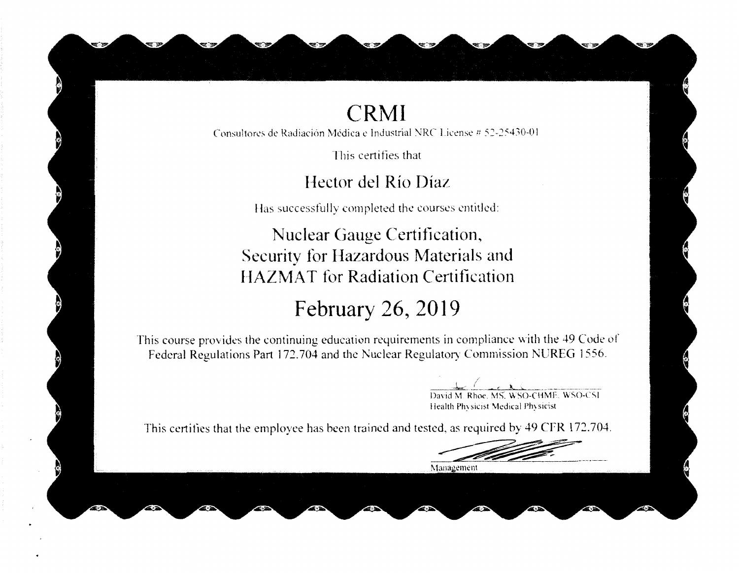### **CRMI**

Consultores de Radiación Médica e Industrial NRC License # 52-25430-01

This certifies that

Hector del Río Díaz

Has successfully completed the courses entitled:

Nuclear Gauge Certification, Security for Hazardous Materials and **HAZMAT** for Radiation Certification

# February 26, 2019

This course provides the continuing education requirements in compliance with the 49 Code of Federal Regulations Part 172.704 and the Nuclear Regulatory Commission NUREG 1556.

David M. Rhoe. MS. WSO-CHME. WSO-CSI

Health Physicist Medical Physicist

This certifies that the employee has been trained and tested, as required by 49 CFR 172.704.

Management